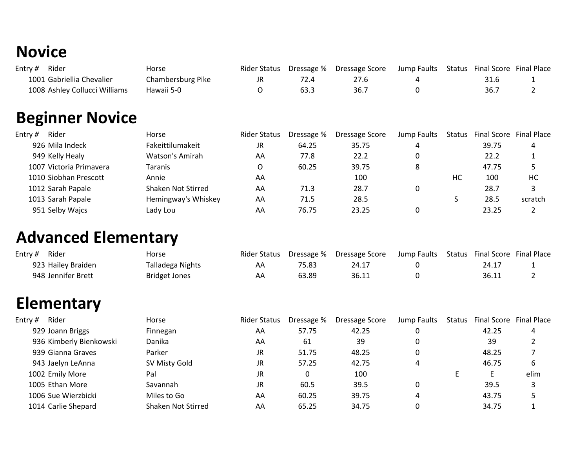# **Novice**

| Entry # | Rider                         | Horse             | Rider Status |      | Dressage % Dressage Score Jump Faults Status Final Score Final Place |  |      |  |
|---------|-------------------------------|-------------------|--------------|------|----------------------------------------------------------------------|--|------|--|
|         | 1001 Gabriellia Chevalier     | Chambersburg Pike |              |      |                                                                      |  |      |  |
|         | 1008 Ashley Collucci Williams | Hawaii 5-0        |              | 63.3 | 36.7                                                                 |  | 36.7 |  |

# **Beginner Novice**

| Entry # | Rider                   | Horse               | <b>Rider Status</b> | Dressage % | Dressage Score | Jump Faults | Status | Final Score Final Place |         |
|---------|-------------------------|---------------------|---------------------|------------|----------------|-------------|--------|-------------------------|---------|
|         | 926 Mila Indeck         | Fakeittilumakeit    | JR                  | 64.25      | 35.75          |             |        | 39.75                   | 4       |
|         | 949 Kelly Healy         | Watson's Amirah     | AA                  | 77.8       | 22.2           | 0           |        | 22.2                    |         |
|         | 1007 Victoria Primavera | Taranis             | O                   | 60.25      | 39.75          | 8           |        | 47.75                   |         |
|         | 1010 Siobhan Prescott   | Annie               | AA                  |            | 100            |             | HC     | 100                     | HC      |
|         | 1012 Sarah Papale       | Shaken Not Stirred  | AA                  | 71.3       | 28.7           | 0           |        | 28.7                    |         |
|         | 1013 Sarah Papale       | Hemingway's Whiskey | AA                  | 71.5       | 28.5           |             |        | 28.5                    | scratch |
|         | 951 Selby Wajcs         | Lady Lou            | AA                  | 76.75      | 23.25          |             |        | 23.25                   |         |
|         |                         |                     |                     |            |                |             |        |                         |         |

# **Advanced Elementary**

| Entry #<br>Rider   | Horse                | Rider Status |       | Dressage % Dressage Score | Jump Faults Status Final Score Final Place |       |  |
|--------------------|----------------------|--------------|-------|---------------------------|--------------------------------------------|-------|--|
| 923 Hailey Braiden | Talladega Nights     | AA           | 75.83 | 24.17                     |                                            | 24.17 |  |
| 948 Jennifer Brett | <b>Bridget Jones</b> | AA           | 63.89 | 36.11                     |                                            | 36.11 |  |

#### **Elementary**

| Entry # | Rider                   | Horse              | <b>Rider Status</b> | Dressage % | Dressage Score | Jump Faults | Status Final Score Final Place |      |
|---------|-------------------------|--------------------|---------------------|------------|----------------|-------------|--------------------------------|------|
|         | 929 Joann Briggs        | Finnegan           | AA                  | 57.75      | 42.25          |             | 42.25                          | 4    |
|         | 936 Kimberly Bienkowski | Danika             | AA                  | -61        | 39             |             | 39                             |      |
|         | 939 Gianna Graves       | Parker             | JR                  | 51.75      | 48.25          | 0           | 48.25                          |      |
|         | 943 Jaelyn LeAnna       | SV Misty Gold      | JR                  | 57.25      | 42.75          |             | 46.75                          | 6    |
|         | 1002 Emily More         | Pal                | JR                  | 0          | 100            |             |                                | elim |
|         | 1005 Ethan More         | Savannah           | JR                  | 60.5       | 39.5           |             | 39.5                           |      |
|         | 1006 Sue Wierzbicki     | Miles to Go        | AA                  | 60.25      | 39.75          | 4           | 43.75                          |      |
|         | 1014 Carlie Shepard     | Shaken Not Stirred | AA                  | 65.25      | 34.75          |             | 34.75                          |      |
|         |                         |                    |                     |            |                |             |                                |      |